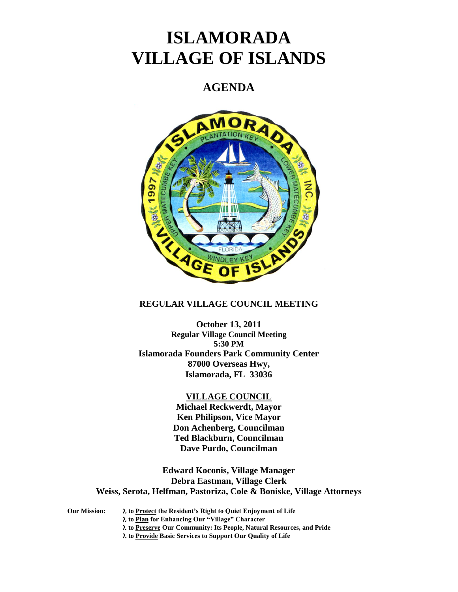# **ISLAMORADA VILLAGE OF ISLANDS**

# **AGENDA**



# **REGULAR VILLAGE COUNCIL MEETING**

**October 13, 2011 Regular Village Council Meeting 5:30 PM Islamorada Founders Park Community Center 87000 Overseas Hwy, Islamorada, FL 33036**

#### **VILLAGE COUNCIL**

**Michael Reckwerdt, Mayor Ken Philipson, Vice Mayor Don Achenberg, Councilman Ted Blackburn, Councilman Dave Purdo, Councilman**

**Edward Koconis, Village Manager Debra Eastman, Village Clerk Weiss, Serota, Helfman, Pastoriza, Cole & Boniske, Village Attorneys**

**Our Mission: to Protect the Resident's Right to Quiet Enjoyment of Life to Plan for Enhancing Our "Village" Character to Preserve Our Community: Its People, Natural Resources, and Pride to Provide Basic Services to Support Our Quality of Life**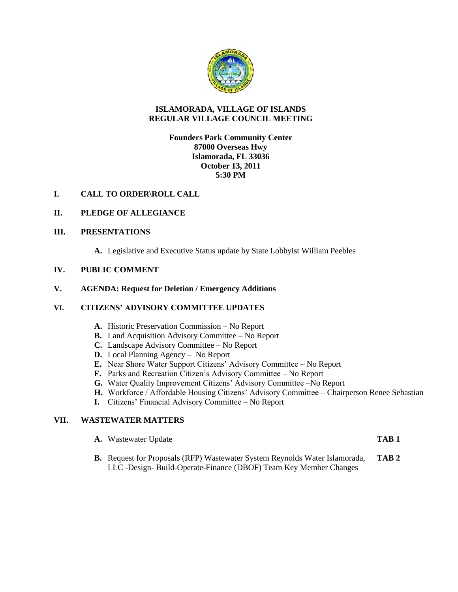

# **ISLAMORADA, VILLAGE OF ISLANDS REGULAR VILLAGE COUNCIL MEETING**

# **Founders Park Community Center 87000 Overseas Hwy Islamorada, FL 33036 October 13, 2011 5:30 PM**

# **I. CALL TO ORDER\ROLL CALL**

# **II. PLEDGE OF ALLEGIANCE**

#### **III. PRESENTATIONS**

**A.** Legislative and Executive Status update by State Lobbyist William Peebles

#### **IV. PUBLIC COMMENT**

#### **V. AGENDA: Request for Deletion / Emergency Additions**

#### **VI. CITIZENS' ADVISORY COMMITTEE UPDATES**

- **A.** Historic Preservation Commission No Report
- **B.** Land Acquisition Advisory Committee No Report
- **C.** Landscape Advisory Committee No Report
- **D.** Local Planning Agency No Report
- **E.** Near Shore Water Support Citizens' Advisory Committee No Report
- **F.** Parks and Recreation Citizen's Advisory Committee No Report
- **G.** Water Quality Improvement Citizens' Advisory Committee –No Report
- **H.** Workforce / Affordable Housing Citizens' Advisory Committee Chairperson Renee Sebastian
- **I.** Citizens' Financial Advisory Committee No Report

# **VII. WASTEWATER MATTERS**

|  | <b>A.</b> Wastewater Update | TAB <sub>1</sub> |
|--|-----------------------------|------------------|
|--|-----------------------------|------------------|

**B.** Request for Proposals (RFP) Wastewater System Reynolds Water Islamorada, **TAB 2** LLC -Design- Build-Operate-Finance (DBOF) Team Key Member Changes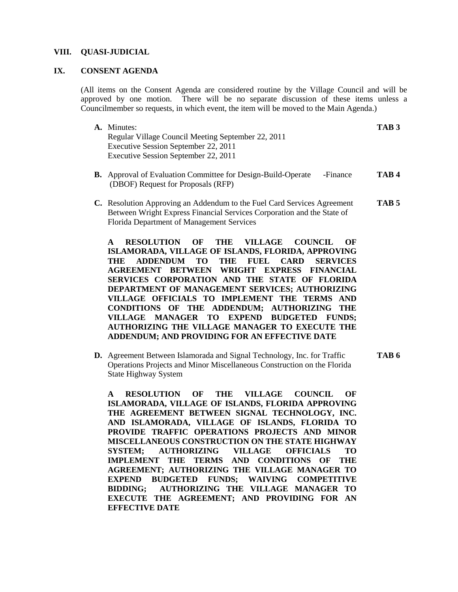#### **VIII. QUASI-JUDICIAL**

# **IX. CONSENT AGENDA**

(All items on the Consent Agenda are considered routine by the Village Council and will be approved by one motion. There will be no separate discussion of these items unless a Councilmember so requests, in which event, the item will be moved to the Main Agenda.)

| A. Minutes:                                        | TAB <sub>3</sub> |
|----------------------------------------------------|------------------|
| Regular Village Council Meeting September 22, 2011 |                  |
| Executive Session September 22, 2011               |                  |
| Executive Session September 22, 2011               |                  |

- **B.** Approval of Evaluation Committee for Design-Build-Operate -Finance **TAB 4** (DBOF) Request for Proposals (RFP)
- **C.** Resolution Approving an Addendum to the Fuel Card Services Agreement **TAB 5** Between Wright Express Financial Services Corporation and the State of Florida Department of Management Services

**A RESOLUTION OF THE VILLAGE COUNCIL OF ISLAMORADA, VILLAGE OF ISLANDS, FLORIDA, APPROVING THE ADDENDUM TO THE FUEL CARD SERVICES AGREEMENT BETWEEN WRIGHT EXPRESS FINANCIAL SERVICES CORPORATION AND THE STATE OF FLORIDA DEPARTMENT OF MANAGEMENT SERVICES; AUTHORIZING VILLAGE OFFICIALS TO IMPLEMENT THE TERMS AND CONDITIONS OF THE ADDENDUM; AUTHORIZING THE VILLAGE MANAGER TO EXPEND BUDGETED FUNDS; AUTHORIZING THE VILLAGE MANAGER TO EXECUTE THE ADDENDUM; AND PROVIDING FOR AN EFFECTIVE DATE**

**D.** Agreement Between Islamorada and Signal Technology, Inc. for Traffic **TAB 6** Operations Projects and Minor Miscellaneous Construction on the Florida State Highway System

**A RESOLUTION OF THE VILLAGE COUNCIL OF ISLAMORADA, VILLAGE OF ISLANDS, FLORIDA APPROVING THE AGREEMENT BETWEEN SIGNAL TECHNOLOGY, INC. AND ISLAMORADA, VILLAGE OF ISLANDS, FLORIDA TO PROVIDE TRAFFIC OPERATIONS PROJECTS AND MINOR MISCELLANEOUS CONSTRUCTION ON THE STATE HIGHWAY SYSTEM; AUTHORIZING VILLAGE OFFICIALS TO IMPLEMENT THE TERMS AND CONDITIONS OF THE AGREEMENT; AUTHORIZING THE VILLAGE MANAGER TO EXPEND BUDGETED FUNDS; WAIVING COMPETITIVE BIDDING; AUTHORIZING THE VILLAGE MANAGER TO EXECUTE THE AGREEMENT; AND PROVIDING FOR AN EFFECTIVE DATE**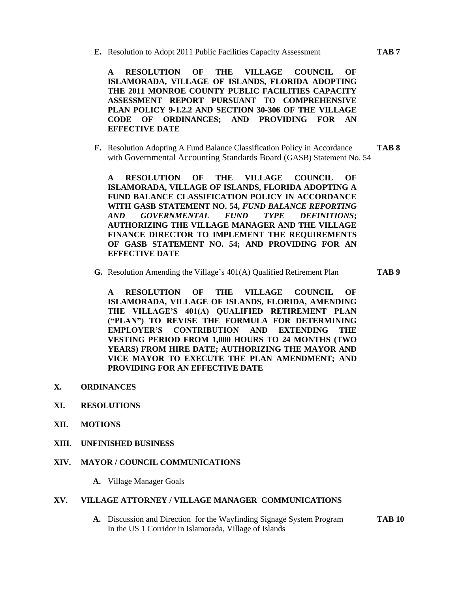**E.** Resolution to Adopt 2011 Public Facilities Capacity Assessment **TAB 7**

**A RESOLUTION OF THE VILLAGE COUNCIL OF ISLAMORADA, VILLAGE OF ISLANDS, FLORIDA ADOPTING THE 2011 MONROE COUNTY PUBLIC FACILITIES CAPACITY ASSESSMENT REPORT PURSUANT TO COMPREHENSIVE PLAN POLICY 9-1.2.2 AND SECTION 30-306 OF THE VILLAGE CODE OF ORDINANCES; AND PROVIDING FOR AN EFFECTIVE DATE**

**F.** Resolution Adopting A Fund Balance Classification Policy in Accordance **TAB 8** with Governmental Accounting Standards Board (GASB) Statement No. 54

**A RESOLUTION OF THE VILLAGE COUNCIL OF ISLAMORADA, VILLAGE OF ISLANDS, FLORIDA ADOPTING A FUND BALANCE CLASSIFICATION POLICY IN ACCORDANCE WITH GASB STATEMENT NO. 54,** *FUND BALANCE REPORTING AND GOVERNMENTAL FUND TYPE DEFINITIONS***; AUTHORIZING THE VILLAGE MANAGER AND THE VILLAGE FINANCE DIRECTOR TO IMPLEMENT THE REQUIREMENTS OF GASB STATEMENT NO. 54; AND PROVIDING FOR AN EFFECTIVE DATE**

**G.** Resolution Amending the Village's 401(A) Qualified Retirement Plan **TAB 9**

**A RESOLUTION OF THE VILLAGE COUNCIL OF ISLAMORADA, VILLAGE OF ISLANDS, FLORIDA, AMENDING THE VILLAGE'S 401(A) QUALIFIED RETIREMENT PLAN ("PLAN") TO REVISE THE FORMULA FOR DETERMINING EMPLOYER'S CONTRIBUTION AND EXTENDING THE VESTING PERIOD FROM 1,000 HOURS TO 24 MONTHS (TWO YEARS) FROM HIRE DATE; AUTHORIZING THE MAYOR AND VICE MAYOR TO EXECUTE THE PLAN AMENDMENT; AND PROVIDING FOR AN EFFECTIVE DATE**

- **X. ORDINANCES**
- **XI. RESOLUTIONS**
- **XII. MOTIONS**
- **XIII. UNFINISHED BUSINESS**

# **XIV. MAYOR / COUNCIL COMMUNICATIONS**

**A.** Village Manager Goals

# **XV. VILLAGE ATTORNEY / VILLAGE MANAGER COMMUNICATIONS**

**A.** Discussion and Direction for the Wayfinding Signage System Program **TAB 10** In the US 1 Corridor in Islamorada, Village of Islands